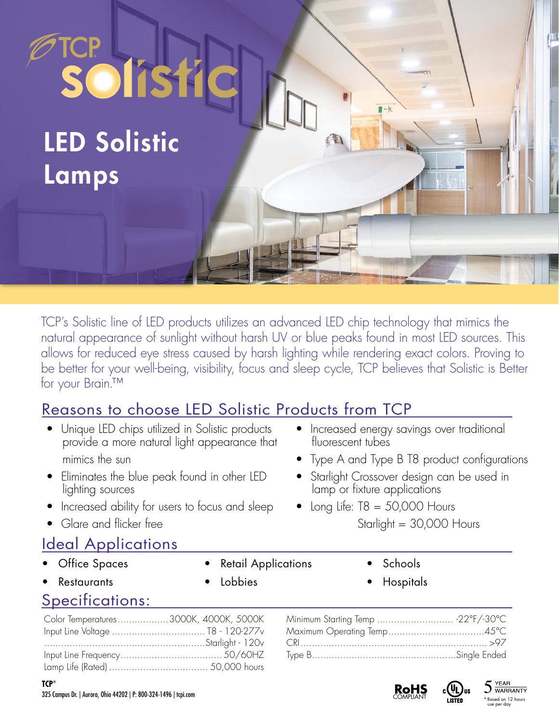LED Solistic Lamps

solistic

TCP's Solistic line of LED products utilizes an advanced LED chip technology that mimics the natural appearance of sunlight without harsh UV or blue peaks found in most LED sources. This allows for reduced eye stress caused by harsh lighting while rendering exact colors. Proving to be better for your well-being, visibility, focus and sleep cycle, TCP believes that Solistic is Better for your Brain.™

## Reasons to choose LED Solistic Products from TCP

- Unique LED chips utilized in Solistic products provide a more natural light appearance that mimics the sun
- Eliminates the blue peak found in other LED lighting sources
- Increased ability for users to focus and sleep
- Glare and flicker free

## Ideal Applications

- **Office Spaces**
- **Retail Applications**

• Lobbies

• Schools

• Hospitals

• Increased energy savings over traditional

• Starlight Crossover design can be used in

lamp or fixture applications • Long Life:  $T8 = 50,000$  Hours

• Type A and Type B T8 product configurations

Starlight = 30,000 Hours

fluorescent tubes

Specifications: **Restaurants** 

| Color Temperatures3000K, 4000K, 5000K |  |
|---------------------------------------|--|
|                                       |  |
|                                       |  |
|                                       |  |
|                                       |  |

| Minimum Starting Temp  -22°F/-30°C |  |
|------------------------------------|--|
|                                    |  |
|                                    |  |
|                                    |  |